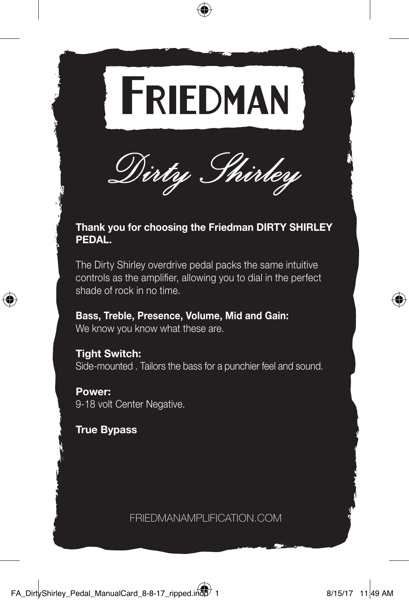



# **Thank you for choosing the Friedman DIRTY SHIRLEY PEDAL.**

The Dirty Shirley overdrive pedal packs the same intuitive controls as the amplifier, allowing you to dial in the perfect shade of rock in no time.

**Bass, Treble, Presence, Volume, Mid and Gain:**  We know you know what these are.

**Tight Switch:** Side-mounted . Tailors the bass for a punchier feel and sound.

**Power:** 9-18 volt Center Negative.

**True Bypass**

FRIEDMANAMPLIFICATION.COM